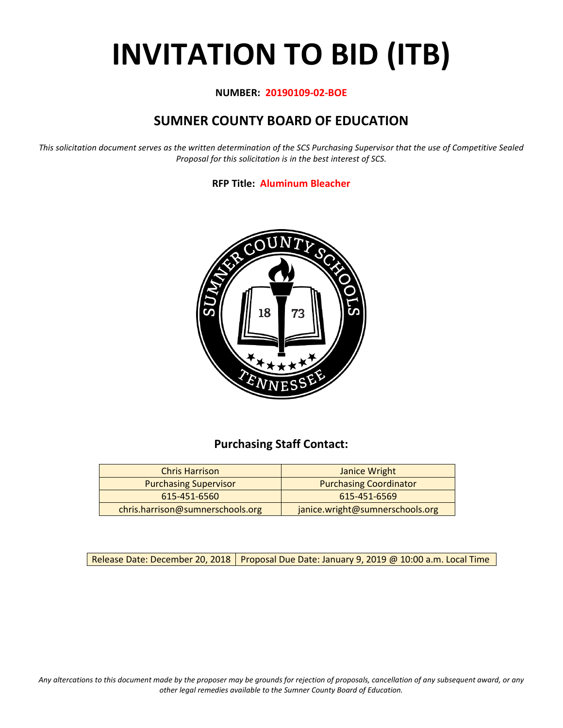# **INVITATION TO BID (ITB)**

#### **NUMBER: 20190109-02-BOE**

# **SUMNER COUNTY BOARD OF EDUCATION**

*This solicitation document serves as the written determination of the SCS Purchasing Supervisor that the use of Competitive Sealed Proposal for this solicitation is in the best interest of SCS.*

#### **RFP Title: Aluminum Bleacher**



## **Purchasing Staff Contact:**

| <b>Chris Harrison</b>            | Janice Wright                   |
|----------------------------------|---------------------------------|
| <b>Purchasing Supervisor</b>     | <b>Purchasing Coordinator</b>   |
| 615-451-6560                     | 615-451-6569                    |
| chris.harrison@sumnerschools.org | janice.wright@sumnerschools.org |

Release Date: December 20, 2018 | Proposal Due Date: January 9, 2019 @ 10:00 a.m. Local Time

*Any altercations to this document made by the proposer may be grounds for rejection of proposals, cancellation of any subsequent award, or any other legal remedies available to the Sumner County Board of Education.*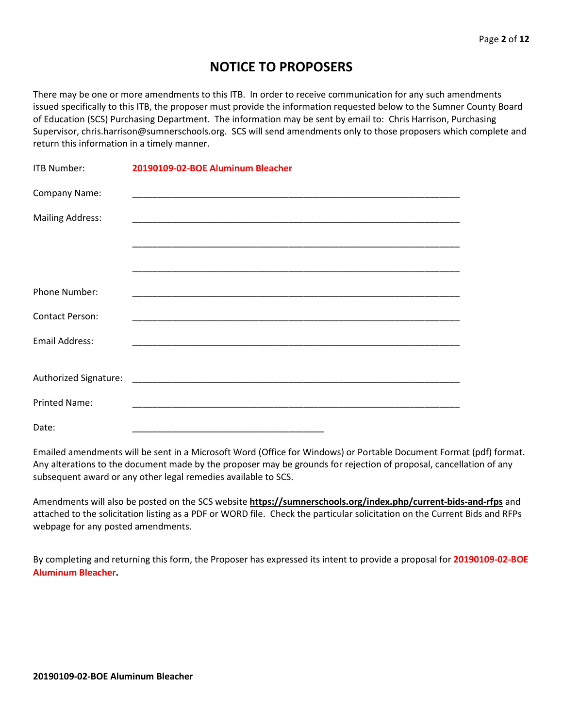# **NOTICE TO PROPOSERS**

There may be one or more amendments to this ITB. In order to receive communication for any such amendments issued specifically to this ITB, the proposer must provide the information requested below to the Sumner County Board of Education (SCS) Purchasing Department. The information may be sent by email to: Chris Harrison, Purchasing Supervisor, chris.harrison@sumnerschools.org. SCS will send amendments only to those proposers which complete and return this information in a timely manner.

| <b>ITB Number:</b>      | 20190109-02-BOE Aluminum Bleacher |
|-------------------------|-----------------------------------|
| Company Name:           |                                   |
| <b>Mailing Address:</b> |                                   |
|                         |                                   |
|                         |                                   |
| Phone Number:           |                                   |
| <b>Contact Person:</b>  |                                   |
| <b>Email Address:</b>   |                                   |
|                         |                                   |
|                         |                                   |
| <b>Printed Name:</b>    |                                   |
| Date:                   |                                   |

Emailed amendments will be sent in a Microsoft Word (Office for Windows) or Portable Document Format (pdf) format. Any alterations to the document made by the proposer may be grounds for rejection of proposal, cancellation of any subsequent award or any other legal remedies available to SCS.

Amendments will also be posted on the SCS website **https://sumnerschools.org/index.php/current-bids-and-rfps** and attached to the solicitation listing as a PDF or WORD file. Check the particular solicitation on the Current Bids and RFPs webpage for any posted amendments.

By completing and returning this form, the Proposer has expressed its intent to provide a proposal for **20190109-02-BOE Aluminum Bleacher.**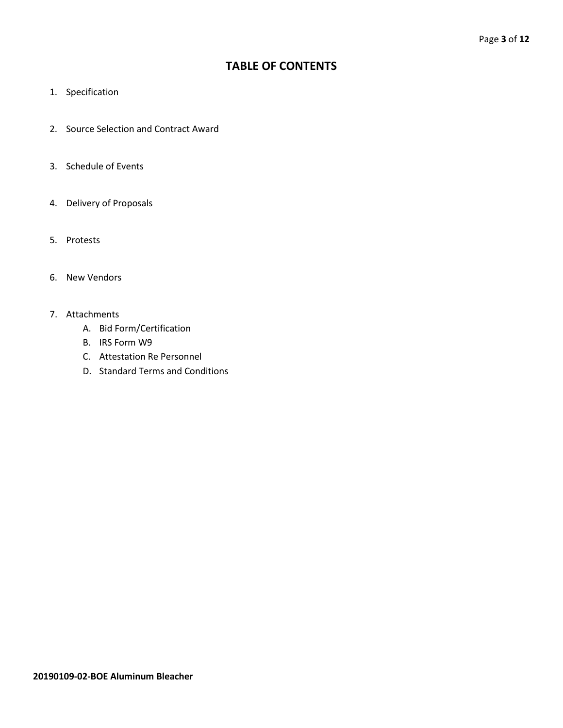## **TABLE OF CONTENTS**

- 1. Specification
- 2. Source Selection and Contract Award
- 3. Schedule of Events
- 4. Delivery of Proposals
- 5. Protests
- 6. New Vendors
- 7. Attachments
	- A. Bid Form/Certification
	- B. IRS Form W9
	- C. Attestation Re Personnel
	- D. Standard Terms and Conditions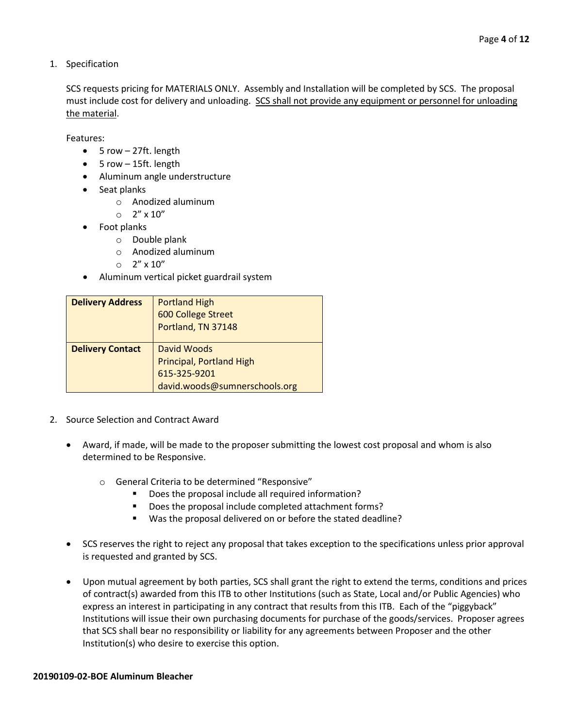1. Specification

SCS requests pricing for MATERIALS ONLY. Assembly and Installation will be completed by SCS. The proposal must include cost for delivery and unloading. SCS shall not provide any equipment or personnel for unloading the material.

Features:

- 5 row 27ft. length
- 5 row 15ft. length
- Aluminum angle understructure
- Seat planks
	- o Anodized aluminum
	- $O$  2" x 10"
- Foot planks
	- o Double plank
	- o Anodized aluminum
	- $\circ$  2"  $\times$  10"
- Aluminum vertical picket guardrail system

| <b>Delivery Address</b> | <b>Portland High</b><br>600 College Street<br>Portland, TN 37148                                |
|-------------------------|-------------------------------------------------------------------------------------------------|
| <b>Delivery Contact</b> | David Woods<br><b>Principal, Portland High</b><br>615-325-9201<br>david.woods@sumnerschools.org |

- 2. Source Selection and Contract Award
	- Award, if made, will be made to the proposer submitting the lowest cost proposal and whom is also determined to be Responsive.
		- o General Criteria to be determined "Responsive"
			- Does the proposal include all required information?
			- Does the proposal include completed attachment forms?
			- Was the proposal delivered on or before the stated deadline?
	- SCS reserves the right to reject any proposal that takes exception to the specifications unless prior approval is requested and granted by SCS.
	- Upon mutual agreement by both parties, SCS shall grant the right to extend the terms, conditions and prices of contract(s) awarded from this ITB to other Institutions (such as State, Local and/or Public Agencies) who express an interest in participating in any contract that results from this ITB. Each of the "piggyback" Institutions will issue their own purchasing documents for purchase of the goods/services. Proposer agrees that SCS shall bear no responsibility or liability for any agreements between Proposer and the other Institution(s) who desire to exercise this option.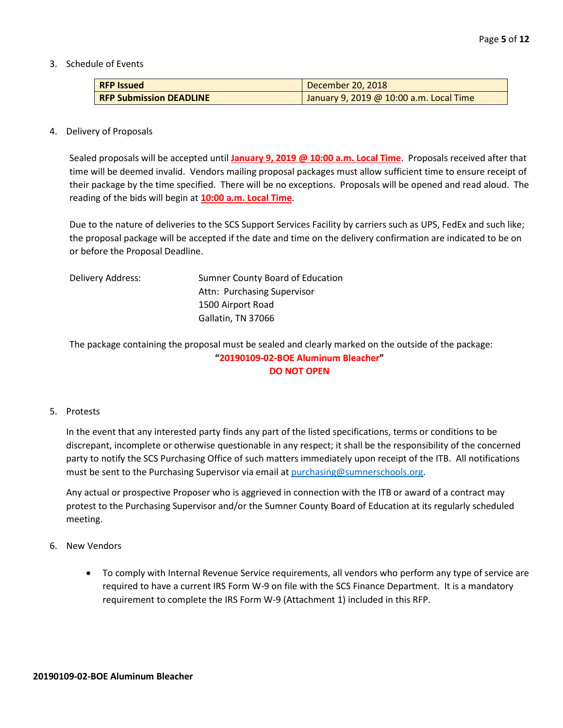3. Schedule of Events

| <b>RFP Issued</b>              | December 20, 2018                       |
|--------------------------------|-----------------------------------------|
| <b>RFP Submission DEADLINE</b> | January 9, 2019 @ 10:00 a.m. Local Time |

#### 4. Delivery of Proposals

Sealed proposals will be accepted until **January 9, 2019 @ 10:00 a.m. Local Time**. Proposals received after that time will be deemed invalid. Vendors mailing proposal packages must allow sufficient time to ensure receipt of their package by the time specified. There will be no exceptions. Proposals will be opened and read aloud. The reading of the bids will begin at **10:00 a.m. Local Time**.

Due to the nature of deliveries to the SCS Support Services Facility by carriers such as UPS, FedEx and such like; the proposal package will be accepted if the date and time on the delivery confirmation are indicated to be on or before the Proposal Deadline.

| Delivery Address: | Sumner County Board of Education |  |
|-------------------|----------------------------------|--|
|                   | Attn: Purchasing Supervisor      |  |
|                   | 1500 Airport Road                |  |
|                   | Gallatin, TN 37066               |  |

The package containing the proposal must be sealed and clearly marked on the outside of the package: **"20190109-02-BOE Aluminum Bleacher" DO NOT OPEN**

#### 5. Protests

In the event that any interested party finds any part of the listed specifications, terms or conditions to be discrepant, incomplete or otherwise questionable in any respect; it shall be the responsibility of the concerned party to notify the SCS Purchasing Office of such matters immediately upon receipt of the ITB. All notifications must be sent to the Purchasing Supervisor via email at [purchasing@sumnerschools.org.](mailto:purchasing@sumnerschools.org)

Any actual or prospective Proposer who is aggrieved in connection with the ITB or award of a contract may protest to the Purchasing Supervisor and/or the Sumner County Board of Education at its regularly scheduled meeting.

#### 6. New Vendors

• To comply with Internal Revenue Service requirements, all vendors who perform any type of service are required to have a current IRS Form W-9 on file with the SCS Finance Department. It is a mandatory requirement to complete the IRS Form W-9 (Attachment 1) included in this RFP.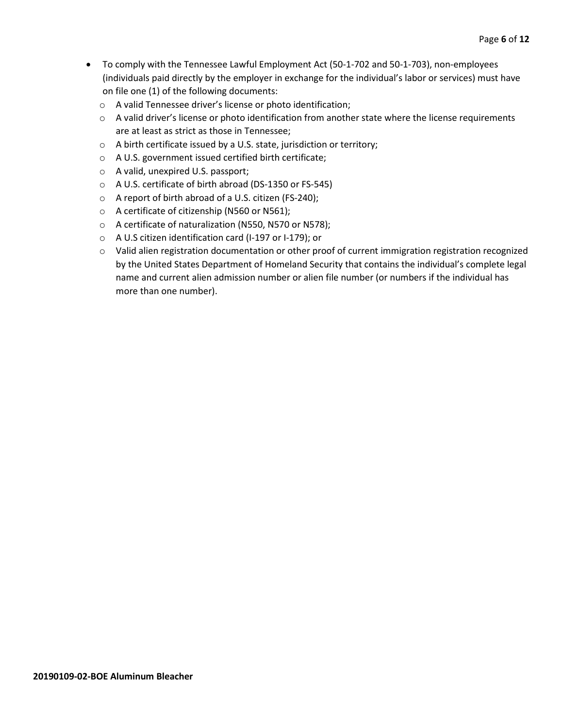- To comply with the Tennessee Lawful Employment Act (50-1-702 and 50-1-703), non-employees (individuals paid directly by the employer in exchange for the individual's labor or services) must have on file one (1) of the following documents:
	- o A valid Tennessee driver's license or photo identification;
	- $\circ$  A valid driver's license or photo identification from another state where the license requirements are at least as strict as those in Tennessee;
	- o A birth certificate issued by a U.S. state, jurisdiction or territory;
	- o A U.S. government issued certified birth certificate;
	- o A valid, unexpired U.S. passport;
	- o A U.S. certificate of birth abroad (DS-1350 or FS-545)
	- o A report of birth abroad of a U.S. citizen (FS-240);
	- o A certificate of citizenship (N560 or N561);
	- o A certificate of naturalization (N550, N570 or N578);
	- o A U.S citizen identification card (I-197 or I-179); or
	- o Valid alien registration documentation or other proof of current immigration registration recognized by the United States Department of Homeland Security that contains the individual's complete legal name and current alien admission number or alien file number (or numbers if the individual has more than one number).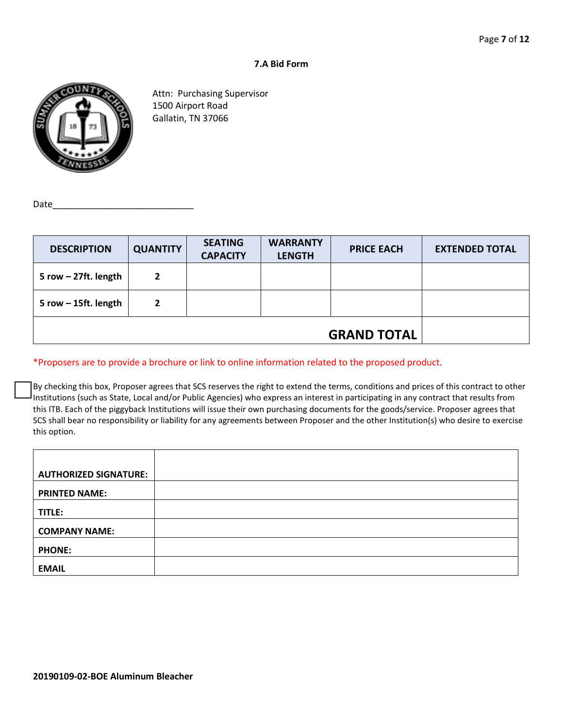#### **7.A Bid Form**



Attn: Purchasing Supervisor 1500 Airport Road Gallatin, TN 37066

Date

| <b>DESCRIPTION</b>     | <b>QUANTITY</b> | <b>SEATING</b><br><b>CAPACITY</b> | <b>WARRANTY</b><br><b>LENGTH</b> | <b>PRICE EACH</b> | <b>EXTENDED TOTAL</b> |
|------------------------|-----------------|-----------------------------------|----------------------------------|-------------------|-----------------------|
| 5 row $-$ 27ft. length | $\overline{2}$  |                                   |                                  |                   |                       |
| 5 row $-$ 15ft. length | $\overline{2}$  |                                   |                                  |                   |                       |
| <b>GRAND TOTAL</b>     |                 |                                   |                                  |                   |                       |

#### \*Proposers are to provide a brochure or link to online information related to the proposed product.

By checking this box, Proposer agrees that SCS reserves the right to extend the terms, conditions and prices of this contract to other Institutions (such as State, Local and/or Public Agencies) who express an interest in participating in any contract that results from this ITB. Each of the piggyback Institutions will issue their own purchasing documents for the goods/service. Proposer agrees that SCS shall bear no responsibility or liability for any agreements between Proposer and the other Institution(s) who desire to exercise this option.

| <b>AUTHORIZED SIGNATURE:</b> |  |
|------------------------------|--|
| <b>PRINTED NAME:</b>         |  |
| TITLE:                       |  |
| <b>COMPANY NAME:</b>         |  |
| <b>PHONE:</b>                |  |
| <b>EMAIL</b>                 |  |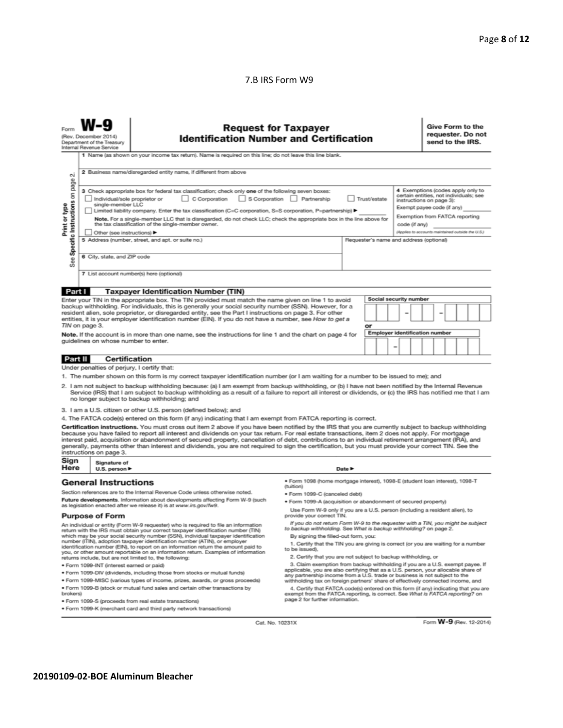#### 7.B IRS Form W9

|                                                                                                                                                                                                                                                                                                                                                                                                                                                                                                                                                                                                                                                                                                                                                                               | <b>Request for Taxpayer</b><br><b>Identification Number and Certification</b><br>(Rev. December 2014)<br>Department of the Treasury<br>Internal Revenue Service |                                                                                                                                                                                                                                                                                                                                                                     |                                                                                                                                                                  |                                         |                                                   |  |  |                                       | Give Form to the<br>requester. Do not<br>send to the IRS. |  |  |  |  |
|-------------------------------------------------------------------------------------------------------------------------------------------------------------------------------------------------------------------------------------------------------------------------------------------------------------------------------------------------------------------------------------------------------------------------------------------------------------------------------------------------------------------------------------------------------------------------------------------------------------------------------------------------------------------------------------------------------------------------------------------------------------------------------|-----------------------------------------------------------------------------------------------------------------------------------------------------------------|---------------------------------------------------------------------------------------------------------------------------------------------------------------------------------------------------------------------------------------------------------------------------------------------------------------------------------------------------------------------|------------------------------------------------------------------------------------------------------------------------------------------------------------------|-----------------------------------------|---------------------------------------------------|--|--|---------------------------------------|-----------------------------------------------------------|--|--|--|--|
|                                                                                                                                                                                                                                                                                                                                                                                                                                                                                                                                                                                                                                                                                                                                                                               |                                                                                                                                                                 | 1 Name (as shown on your income tax return). Name is required on this line; do not leave this line blank.                                                                                                                                                                                                                                                           |                                                                                                                                                                  |                                         |                                                   |  |  |                                       |                                                           |  |  |  |  |
| οi                                                                                                                                                                                                                                                                                                                                                                                                                                                                                                                                                                                                                                                                                                                                                                            |                                                                                                                                                                 | 2 Business name/disregarded entity name, if different from above                                                                                                                                                                                                                                                                                                    |                                                                                                                                                                  |                                         |                                                   |  |  |                                       |                                                           |  |  |  |  |
| on page<br>4 Exemptions (codes apply only to<br>3 Check appropriate box for federal tax classification; check only one of the following seven boxes:<br>certain entities, not individuals; see<br>Individual/sole proprietor or<br>C Corporation<br>S Corporation<br>Partnership<br>Trust/estate<br>instructions on page 3):<br>See Specific Instructions<br>single-member LLC<br>Print or type<br>Exempt payee code (if any)<br>Limited liability company. Enter the tax classification (C=C corporation, S=S corporation, P=partnership) ▶<br>Exemption from FATCA reporting<br>Note. For a single-member LLC that is disregarded, do not check LLC; check the appropriate box in the line above for<br>the tax classification of the single-member owner.<br>code (if any) |                                                                                                                                                                 |                                                                                                                                                                                                                                                                                                                                                                     |                                                                                                                                                                  |                                         | (Applies to accounts maintained outside the U.S.) |  |  |                                       |                                                           |  |  |  |  |
|                                                                                                                                                                                                                                                                                                                                                                                                                                                                                                                                                                                                                                                                                                                                                                               | Other (see instructions)                                                                                                                                        | 5 Address (number, street, and apt. or suite no.)                                                                                                                                                                                                                                                                                                                   |                                                                                                                                                                  | Requester's name and address (optional) |                                                   |  |  |                                       |                                                           |  |  |  |  |
|                                                                                                                                                                                                                                                                                                                                                                                                                                                                                                                                                                                                                                                                                                                                                                               | 6 City, state, and ZIP code                                                                                                                                     |                                                                                                                                                                                                                                                                                                                                                                     |                                                                                                                                                                  |                                         |                                                   |  |  |                                       |                                                           |  |  |  |  |
|                                                                                                                                                                                                                                                                                                                                                                                                                                                                                                                                                                                                                                                                                                                                                                               |                                                                                                                                                                 | 7 List account number(s) here (optional)                                                                                                                                                                                                                                                                                                                            |                                                                                                                                                                  |                                         |                                                   |  |  |                                       |                                                           |  |  |  |  |
|                                                                                                                                                                                                                                                                                                                                                                                                                                                                                                                                                                                                                                                                                                                                                                               |                                                                                                                                                                 |                                                                                                                                                                                                                                                                                                                                                                     |                                                                                                                                                                  |                                         |                                                   |  |  |                                       |                                                           |  |  |  |  |
| Part I                                                                                                                                                                                                                                                                                                                                                                                                                                                                                                                                                                                                                                                                                                                                                                        |                                                                                                                                                                 | <b>Taxpayer Identification Number (TIN)</b>                                                                                                                                                                                                                                                                                                                         |                                                                                                                                                                  |                                         |                                                   |  |  | Social security number                |                                                           |  |  |  |  |
|                                                                                                                                                                                                                                                                                                                                                                                                                                                                                                                                                                                                                                                                                                                                                                               |                                                                                                                                                                 | Enter your TIN in the appropriate box. The TIN provided must match the name given on line 1 to avoid<br>backup withholding. For individuals, this is generally your social security number (SSN). However, for a                                                                                                                                                    |                                                                                                                                                                  |                                         |                                                   |  |  |                                       |                                                           |  |  |  |  |
|                                                                                                                                                                                                                                                                                                                                                                                                                                                                                                                                                                                                                                                                                                                                                                               |                                                                                                                                                                 | resident alien, sole proprietor, or disregarded entity, see the Part I instructions on page 3. For other                                                                                                                                                                                                                                                            |                                                                                                                                                                  |                                         |                                                   |  |  |                                       |                                                           |  |  |  |  |
|                                                                                                                                                                                                                                                                                                                                                                                                                                                                                                                                                                                                                                                                                                                                                                               | TIN on page 3.                                                                                                                                                  | entities, it is your employer identification number (EIN). If you do not have a number, see How to get a                                                                                                                                                                                                                                                            |                                                                                                                                                                  |                                         | or                                                |  |  |                                       |                                                           |  |  |  |  |
|                                                                                                                                                                                                                                                                                                                                                                                                                                                                                                                                                                                                                                                                                                                                                                               |                                                                                                                                                                 | Note. If the account is in more than one name, see the instructions for line 1 and the chart on page 4 for                                                                                                                                                                                                                                                          |                                                                                                                                                                  |                                         |                                                   |  |  | <b>Employer identification number</b> |                                                           |  |  |  |  |
|                                                                                                                                                                                                                                                                                                                                                                                                                                                                                                                                                                                                                                                                                                                                                                               | quidelines on whose number to enter.                                                                                                                            |                                                                                                                                                                                                                                                                                                                                                                     |                                                                                                                                                                  |                                         |                                                   |  |  |                                       |                                                           |  |  |  |  |
|                                                                                                                                                                                                                                                                                                                                                                                                                                                                                                                                                                                                                                                                                                                                                                               |                                                                                                                                                                 |                                                                                                                                                                                                                                                                                                                                                                     |                                                                                                                                                                  |                                         |                                                   |  |  |                                       |                                                           |  |  |  |  |
| Part II                                                                                                                                                                                                                                                                                                                                                                                                                                                                                                                                                                                                                                                                                                                                                                       | Certification                                                                                                                                                   |                                                                                                                                                                                                                                                                                                                                                                     |                                                                                                                                                                  |                                         |                                                   |  |  |                                       |                                                           |  |  |  |  |
|                                                                                                                                                                                                                                                                                                                                                                                                                                                                                                                                                                                                                                                                                                                                                                               | Under penalties of perjury, I certify that:                                                                                                                     |                                                                                                                                                                                                                                                                                                                                                                     |                                                                                                                                                                  |                                         |                                                   |  |  |                                       |                                                           |  |  |  |  |
|                                                                                                                                                                                                                                                                                                                                                                                                                                                                                                                                                                                                                                                                                                                                                                               |                                                                                                                                                                 | 1. The number shown on this form is my correct taxpayer identification number (or I am waiting for a number to be issued to me); and                                                                                                                                                                                                                                |                                                                                                                                                                  |                                         |                                                   |  |  |                                       |                                                           |  |  |  |  |
|                                                                                                                                                                                                                                                                                                                                                                                                                                                                                                                                                                                                                                                                                                                                                                               |                                                                                                                                                                 | 2. I am not subject to backup withholding because: (a) I am exempt from backup withholding, or (b) I have not been notified by the Internal Revenue<br>Service (IRS) that I am subject to backup withholding as a result of a failure to report all interest or dividends, or (c) the IRS has notified me that I am<br>no longer subject to backup withholding; and |                                                                                                                                                                  |                                         |                                                   |  |  |                                       |                                                           |  |  |  |  |
|                                                                                                                                                                                                                                                                                                                                                                                                                                                                                                                                                                                                                                                                                                                                                                               |                                                                                                                                                                 | 3. I am a U.S. citizen or other U.S. person (defined below); and                                                                                                                                                                                                                                                                                                    |                                                                                                                                                                  |                                         |                                                   |  |  |                                       |                                                           |  |  |  |  |
| 4. The FATCA code(s) entered on this form (if any) indicating that I am exempt from FATCA reporting is correct.                                                                                                                                                                                                                                                                                                                                                                                                                                                                                                                                                                                                                                                               |                                                                                                                                                                 |                                                                                                                                                                                                                                                                                                                                                                     |                                                                                                                                                                  |                                         |                                                   |  |  |                                       |                                                           |  |  |  |  |
| Certification instructions. You must cross out item 2 above if you have been notified by the IRS that you are currently subject to backup withholding<br>because you have failed to report all interest and dividends on your tax return. For real estate transactions, item 2 does not apply. For mortgage<br>interest paid, acquisition or abandonment of secured property, cancellation of debt, contributions to an individual retirement arrangement (IRA), and<br>generally, payments other than interest and dividends, you are not required to sign the certification, but you must provide your correct TIN. See the<br>instructions on page 3.                                                                                                                      |                                                                                                                                                                 |                                                                                                                                                                                                                                                                                                                                                                     |                                                                                                                                                                  |                                         |                                                   |  |  |                                       |                                                           |  |  |  |  |
| Sign<br>Here                                                                                                                                                                                                                                                                                                                                                                                                                                                                                                                                                                                                                                                                                                                                                                  | Signature of<br>U.S. person $\blacktriangleright$<br>Date P                                                                                                     |                                                                                                                                                                                                                                                                                                                                                                     |                                                                                                                                                                  |                                         |                                                   |  |  |                                       |                                                           |  |  |  |  |
|                                                                                                                                                                                                                                                                                                                                                                                                                                                                                                                                                                                                                                                                                                                                                                               | <b>General Instructions</b>                                                                                                                                     |                                                                                                                                                                                                                                                                                                                                                                     | · Form 1098 (home mortgage interest), 1098-E (student Ioan interest), 1098-T<br>(tuition)                                                                        |                                         |                                                   |  |  |                                       |                                                           |  |  |  |  |
| Section references are to the Internal Revenue Code unless otherwise noted.                                                                                                                                                                                                                                                                                                                                                                                                                                                                                                                                                                                                                                                                                                   |                                                                                                                                                                 |                                                                                                                                                                                                                                                                                                                                                                     | · Form 1099-C (canceled debt)                                                                                                                                    |                                         |                                                   |  |  |                                       |                                                           |  |  |  |  |
| Future developments. Information about developments affecting Form W-9 (such<br>as legislation enacted after we release it) is at www.irs.gov/fw9.                                                                                                                                                                                                                                                                                                                                                                                                                                                                                                                                                                                                                            |                                                                                                                                                                 |                                                                                                                                                                                                                                                                                                                                                                     | · Form 1099-A (acquisition or abandonment of secured property)                                                                                                   |                                         |                                                   |  |  |                                       |                                                           |  |  |  |  |
| Use Form W-9 only if you are a U.S. person (including a resident alien), to<br><b>Purpose of Form</b><br>provide your correct TIN.<br>If you do not return Form W-9 to the requester with a TIN, you might be subject                                                                                                                                                                                                                                                                                                                                                                                                                                                                                                                                                         |                                                                                                                                                                 |                                                                                                                                                                                                                                                                                                                                                                     |                                                                                                                                                                  |                                         |                                                   |  |  |                                       |                                                           |  |  |  |  |
|                                                                                                                                                                                                                                                                                                                                                                                                                                                                                                                                                                                                                                                                                                                                                                               |                                                                                                                                                                 | An individual or entity (Form W-9 requester) who is required to file an information<br>return with the IRS must obtain your correct taxpayer identification number (TIN)                                                                                                                                                                                            | to backup withholding. See What is backup withholding? on page 2.                                                                                                |                                         |                                                   |  |  |                                       |                                                           |  |  |  |  |
| which may be your social security number (SSN), individual taxpayer identification<br>number (ITIN), adoption taxpayer identification number (ATIN), or employer<br>identification number (EIN), to report on an information return the amount paid to<br>you, or other amount reportable on an information return. Examples of information<br>returns include, but are not limited to, the following:                                                                                                                                                                                                                                                                                                                                                                        |                                                                                                                                                                 | By signing the filled-out form, you:<br>1. Certify that the TIN you are giving is correct (or you are waiting for a number<br>to be issued).<br>2. Certify that you are not subject to backup withholding, or                                                                                                                                                       |                                                                                                                                                                  |                                         |                                                   |  |  |                                       |                                                           |  |  |  |  |
|                                                                                                                                                                                                                                                                                                                                                                                                                                                                                                                                                                                                                                                                                                                                                                               | · Form 1099-INT (interest earned or paid)                                                                                                                       |                                                                                                                                                                                                                                                                                                                                                                     | 3. Claim exemption from backup withholding if you are a U.S. exempt payee. If                                                                                    |                                         |                                                   |  |  |                                       |                                                           |  |  |  |  |
| . Form 1099-DIV (dividends, including those from stocks or mutual funds)                                                                                                                                                                                                                                                                                                                                                                                                                                                                                                                                                                                                                                                                                                      |                                                                                                                                                                 |                                                                                                                                                                                                                                                                                                                                                                     | applicable, you are also certifying that as a U.S. person, your allocable share of<br>any partnership income from a U.S. trade or business is not subject to the |                                         |                                                   |  |  |                                       |                                                           |  |  |  |  |
|                                                                                                                                                                                                                                                                                                                                                                                                                                                                                                                                                                                                                                                                                                                                                                               |                                                                                                                                                                 | * Form 1099-MISC (various types of income, prizes, awards, or gross proceeds)                                                                                                                                                                                                                                                                                       | withholding tax on foreign partners' share of effectively connected income, and                                                                                  |                                         |                                                   |  |  |                                       |                                                           |  |  |  |  |
| . Form 1099-B (stock or mutual fund sales and certain other transactions by<br>4. Certify that FATCA code(s) entered on this form (if any) indicating that you are<br>exempt from the FATCA reporting, is correct. See What is FATCA reporting? on<br>brokers)                                                                                                                                                                                                                                                                                                                                                                                                                                                                                                                |                                                                                                                                                                 |                                                                                                                                                                                                                                                                                                                                                                     |                                                                                                                                                                  |                                         |                                                   |  |  |                                       |                                                           |  |  |  |  |
|                                                                                                                                                                                                                                                                                                                                                                                                                                                                                                                                                                                                                                                                                                                                                                               | · Form 1099-S (proceeds from real estate transactions)                                                                                                          | page 2 for further information.                                                                                                                                                                                                                                                                                                                                     |                                                                                                                                                                  |                                         |                                                   |  |  |                                       |                                                           |  |  |  |  |

· Form 1099-K (merchant card and third party network transactions)

Cat. No. 10231X

Form **W-9** (Rev. 12-2014)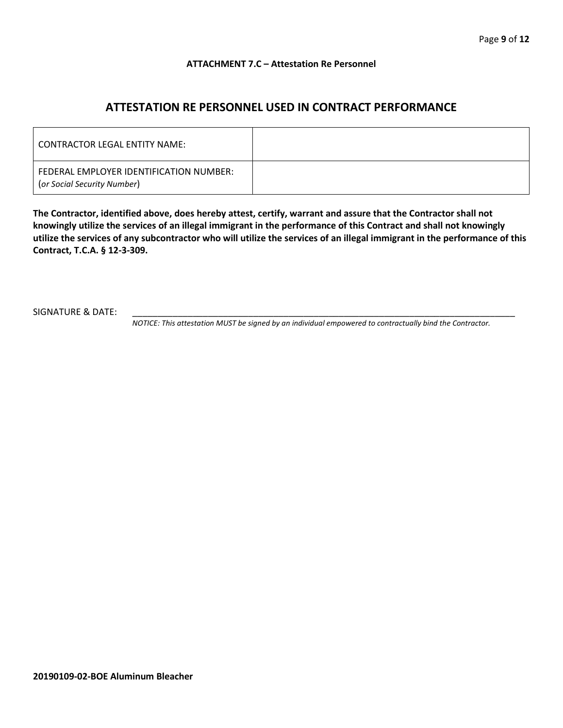#### **ATTACHMENT 7.C – Attestation Re Personnel**

## **ATTESTATION RE PERSONNEL USED IN CONTRACT PERFORMANCE**

| CONTRACTOR LEGAL ENTITY NAME:                                          |  |
|------------------------------------------------------------------------|--|
| FEDERAL EMPLOYER IDENTIFICATION NUMBER:<br>(or Social Security Number) |  |

**The Contractor, identified above, does hereby attest, certify, warrant and assure that the Contractor shall not knowingly utilize the services of an illegal immigrant in the performance of this Contract and shall not knowingly utilize the services of any subcontractor who will utilize the services of an illegal immigrant in the performance of this Contract, T.C.A. § 12-3-309.**

SIGNATURE & DATE:

*NOTICE: This attestation MUST be signed by an individual empowered to contractually bind the Contractor.*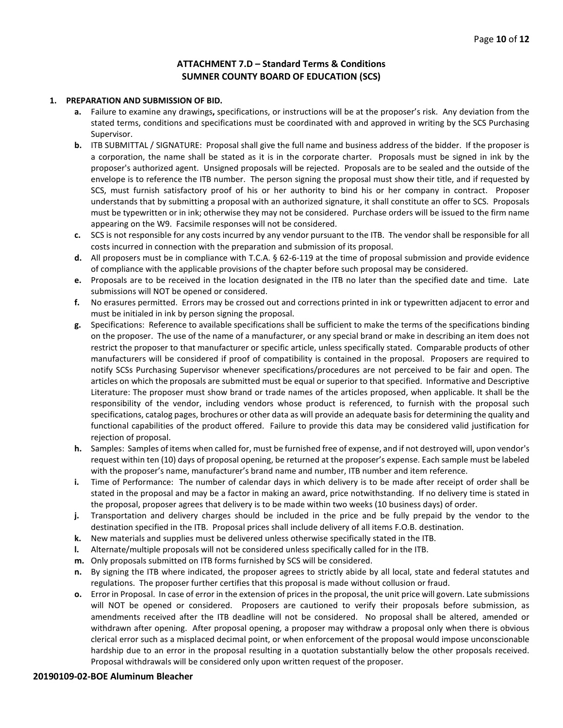#### **ATTACHMENT 7.D – Standard Terms & Conditions SUMNER COUNTY BOARD OF EDUCATION (SCS)**

#### **1. PREPARATION AND SUBMISSION OF BID.**

- **a.** Failure to examine any drawings**,** specifications, or instructions will be at the proposer's risk. Any deviation from the stated terms, conditions and specifications must be coordinated with and approved in writing by the SCS Purchasing Supervisor.
- **b.** ITB SUBMITTAL / SIGNATURE: Proposal shall give the full name and business address of the bidder. If the proposer is a corporation, the name shall be stated as it is in the corporate charter. Proposals must be signed in ink by the proposer's authorized agent. Unsigned proposals will be rejected. Proposals are to be sealed and the outside of the envelope is to reference the ITB number. The person signing the proposal must show their title, and if requested by SCS, must furnish satisfactory proof of his or her authority to bind his or her company in contract. Proposer understands that by submitting a proposal with an authorized signature, it shall constitute an offer to SCS. Proposals must be typewritten or in ink; otherwise they may not be considered. Purchase orders will be issued to the firm name appearing on the W9. Facsimile responses will not be considered.
- **c.** SCS is not responsible for any costs incurred by any vendor pursuant to the ITB. The vendor shall be responsible for all costs incurred in connection with the preparation and submission of its proposal.
- **d.** All proposers must be in compliance with T.C.A. § 62-6-119 at the time of proposal submission and provide evidence of compliance with the applicable provisions of the chapter before such proposal may be considered.
- **e.** Proposals are to be received in the location designated in the ITB no later than the specified date and time. Late submissions will NOT be opened or considered.
- **f.** No erasures permitted. Errors may be crossed out and corrections printed in ink or typewritten adjacent to error and must be initialed in ink by person signing the proposal.
- **g.** Specifications: Reference to available specifications shall be sufficient to make the terms of the specifications binding on the proposer. The use of the name of a manufacturer, or any special brand or make in describing an item does not restrict the proposer to that manufacturer or specific article, unless specifically stated. Comparable products of other manufacturers will be considered if proof of compatibility is contained in the proposal. Proposers are required to notify SCSs Purchasing Supervisor whenever specifications/procedures are not perceived to be fair and open. The articles on which the proposals are submitted must be equal or superior to that specified. Informative and Descriptive Literature: The proposer must show brand or trade names of the articles proposed, when applicable. It shall be the responsibility of the vendor, including vendors whose product is referenced, to furnish with the proposal such specifications, catalog pages, brochures or other data as will provide an adequate basis for determining the quality and functional capabilities of the product offered. Failure to provide this data may be considered valid justification for rejection of proposal.
- **h.** Samples: Samples of items when called for, must be furnished free of expense, and if not destroyed will, upon vendor's request within ten (10) days of proposal opening, be returned at the proposer's expense. Each sample must be labeled with the proposer's name, manufacturer's brand name and number, ITB number and item reference.
- **i.** Time of Performance: The number of calendar days in which delivery is to be made after receipt of order shall be stated in the proposal and may be a factor in making an award, price notwithstanding. If no delivery time is stated in the proposal, proposer agrees that delivery is to be made within two weeks (10 business days) of order.
- **j.** Transportation and delivery charges should be included in the price and be fully prepaid by the vendor to the destination specified in the ITB. Proposal prices shall include delivery of all items F.O.B. destination.
- **k.** New materials and supplies must be delivered unless otherwise specifically stated in the ITB.
- **l.** Alternate/multiple proposals will not be considered unless specifically called for in the ITB.
- **m.** Only proposals submitted on ITB forms furnished by SCS will be considered.
- **n.** By signing the ITB where indicated, the proposer agrees to strictly abide by all local, state and federal statutes and regulations. The proposer further certifies that this proposal is made without collusion or fraud.
- **o.** Error in Proposal. In case of error in the extension of prices in the proposal, the unit price will govern. Late submissions will NOT be opened or considered. Proposers are cautioned to verify their proposals before submission, as amendments received after the ITB deadline will not be considered. No proposal shall be altered, amended or withdrawn after opening. After proposal opening, a proposer may withdraw a proposal only when there is obvious clerical error such as a misplaced decimal point, or when enforcement of the proposal would impose unconscionable hardship due to an error in the proposal resulting in a quotation substantially below the other proposals received. Proposal withdrawals will be considered only upon written request of the proposer.

#### **20190109-02-BOE Aluminum Bleacher**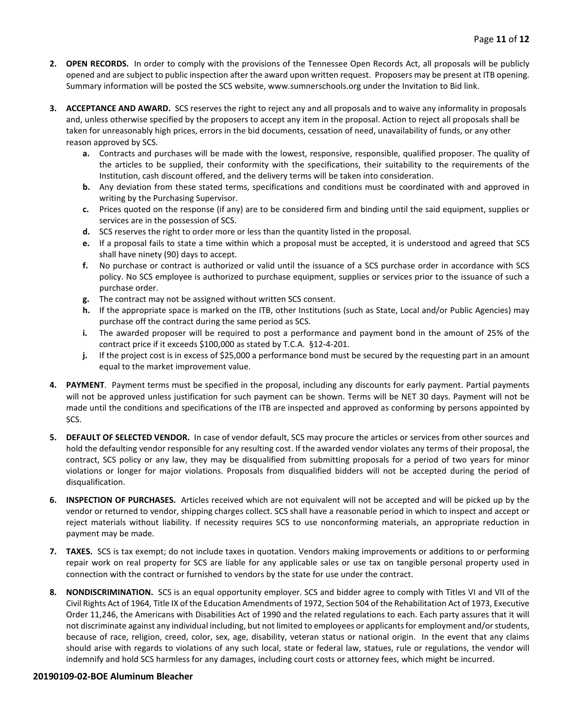- **2. OPEN RECORDS.** In order to comply with the provisions of the Tennessee Open Records Act, all proposals will be publicly opened and are subject to public inspection after the award upon written request. Proposers may be present at ITB opening. Summary information will be posted the SCS website, www.sumnerschools.org under the Invitation to Bid link.
- **3. ACCEPTANCE AND AWARD.** SCS reserves the right to reject any and all proposals and to waive any informality in proposals and, unless otherwise specified by the proposers to accept any item in the proposal. Action to reject all proposals shall be taken for unreasonably high prices, errors in the bid documents, cessation of need, unavailability of funds, or any other reason approved by SCS.
	- **a.** Contracts and purchases will be made with the lowest, responsive, responsible, qualified proposer. The quality of the articles to be supplied, their conformity with the specifications, their suitability to the requirements of the Institution, cash discount offered, and the delivery terms will be taken into consideration.
	- **b.** Any deviation from these stated terms, specifications and conditions must be coordinated with and approved in writing by the Purchasing Supervisor.
	- **c.** Prices quoted on the response (if any) are to be considered firm and binding until the said equipment, supplies or services are in the possession of SCS.
	- **d.** SCS reserves the right to order more or less than the quantity listed in the proposal.
	- **e.** If a proposal fails to state a time within which a proposal must be accepted, it is understood and agreed that SCS shall have ninety (90) days to accept.
	- **f.** No purchase or contract is authorized or valid until the issuance of a SCS purchase order in accordance with SCS policy. No SCS employee is authorized to purchase equipment, supplies or services prior to the issuance of such a purchase order.
	- **g.** The contract may not be assigned without written SCS consent.
	- **h.** If the appropriate space is marked on the ITB, other Institutions (such as State, Local and/or Public Agencies) may purchase off the contract during the same period as SCS.
	- **i.** The awarded proposer will be required to post a performance and payment bond in the amount of 25% of the contract price if it exceeds \$100,000 as stated by T.C.A. §12-4-201.
	- **j.** If the project cost is in excess of \$25,000 a performance bond must be secured by the requesting part in an amount equal to the market improvement value.
- **4. PAYMENT**. Payment terms must be specified in the proposal, including any discounts for early payment. Partial payments will not be approved unless justification for such payment can be shown. Terms will be NET 30 days. Payment will not be made until the conditions and specifications of the ITB are inspected and approved as conforming by persons appointed by SCS.
- **5. DEFAULT OF SELECTED VENDOR.** In case of vendor default, SCS may procure the articles or services from other sources and hold the defaulting vendor responsible for any resulting cost. If the awarded vendor violates any terms of their proposal, the contract, SCS policy or any law, they may be disqualified from submitting proposals for a period of two years for minor violations or longer for major violations. Proposals from disqualified bidders will not be accepted during the period of disqualification.
- **6. INSPECTION OF PURCHASES.** Articles received which are not equivalent will not be accepted and will be picked up by the vendor or returned to vendor, shipping charges collect. SCS shall have a reasonable period in which to inspect and accept or reject materials without liability. If necessity requires SCS to use nonconforming materials, an appropriate reduction in payment may be made.
- **7. TAXES.** SCS is tax exempt; do not include taxes in quotation. Vendors making improvements or additions to or performing repair work on real property for SCS are liable for any applicable sales or use tax on tangible personal property used in connection with the contract or furnished to vendors by the state for use under the contract.
- **8. NONDISCRIMINATION.** SCS is an equal opportunity employer. SCS and bidder agree to comply with Titles VI and VII of the Civil Rights Act of 1964, Title IX of the Education Amendments of 1972, Section 504 of the Rehabilitation Act of 1973, Executive Order 11,246, the Americans with Disabilities Act of 1990 and the related regulations to each. Each party assures that it will not discriminate against any individual including, but not limited to employees or applicants for employment and/or students, because of race, religion, creed, color, sex, age, disability, veteran status or national origin. In the event that any claims should arise with regards to violations of any such local, state or federal law, statues, rule or regulations, the vendor will indemnify and hold SCS harmless for any damages, including court costs or attorney fees, which might be incurred.

#### **20190109-02-BOE Aluminum Bleacher**